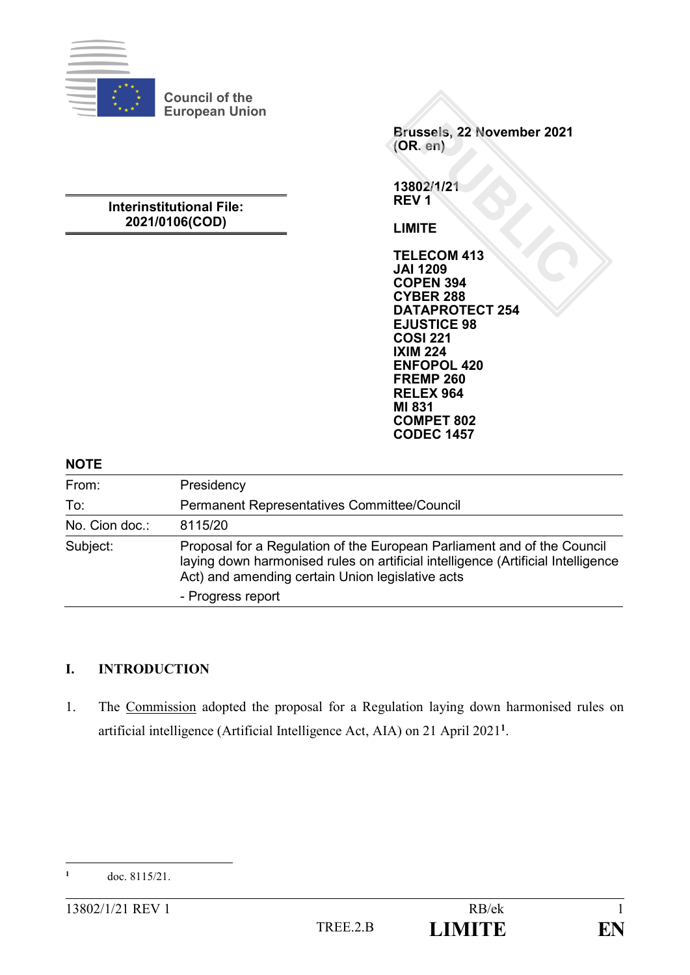

**Council of the European Union**

## **Interinstitutional File: 2021/0106(COD)**

**Brussels, 22 November 2021 (OR. en)**

**13802/1/21 REV 1**

**LIMITE**

**TELECOM 413 JAI 1209 COPEN 394 CYBER 288 DATAPROTECT 254 EJUSTICE 98 COSI 221 IXIM 224 ENFOPOL 420 FREMP 260 RELEX 964 MI 831 COMPET 802 CODEC 1457**

#### **NOTE**

| From:          | Presidency                                                                                                                                                                                                      |
|----------------|-----------------------------------------------------------------------------------------------------------------------------------------------------------------------------------------------------------------|
| To:            | Permanent Representatives Committee/Council                                                                                                                                                                     |
| No. Cion doc.: | 8115/20                                                                                                                                                                                                         |
| Subject:       | Proposal for a Regulation of the European Parliament and of the Council<br>laying down harmonised rules on artificial intelligence (Artificial Intelligence<br>Act) and amending certain Union legislative acts |
|                | - Progress report                                                                                                                                                                                               |

# **I. INTRODUCTION**

1. The Commission adopted the proposal for a Regulation laying down harmonised rules on artificial intelligence (Artificial Intelligence Act, AIA) on 21 April 2021**<sup>1</sup>** .

 $\mathbf{1}$ **<sup>1</sup>** doc. 8115/21.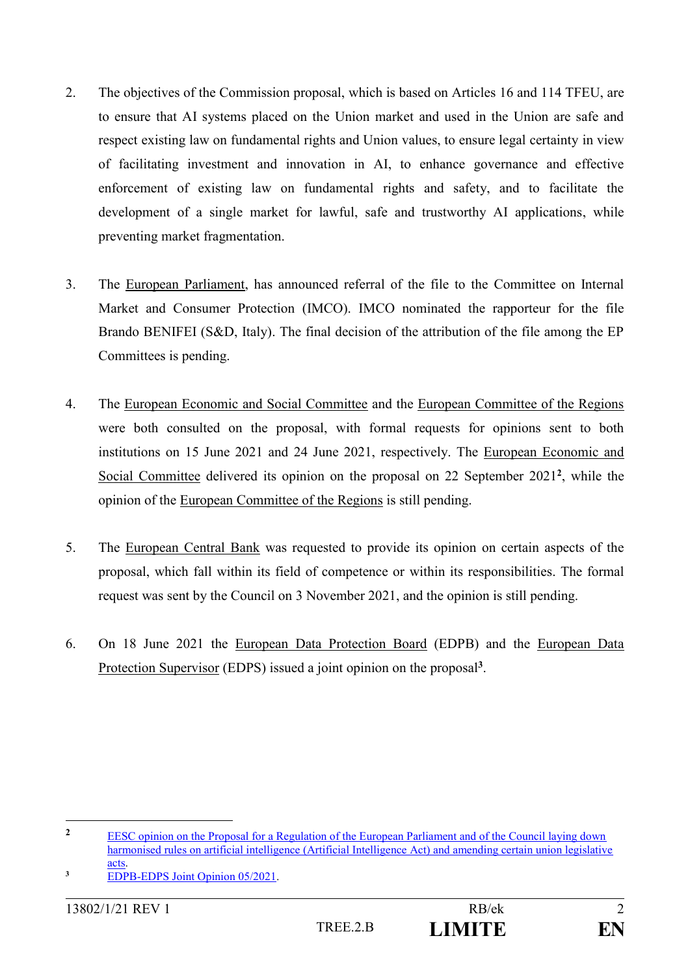- 2. The objectives of the Commission proposal, which is based on Articles 16 and 114 TFEU, are to ensure that AI systems placed on the Union market and used in the Union are safe and respect existing law on fundamental rights and Union values, to ensure legal certainty in view of facilitating investment and innovation in AI, to enhance governance and effective enforcement of existing law on fundamental rights and safety, and to facilitate the development of a single market for lawful, safe and trustworthy AI applications, while preventing market fragmentation.
- 3. The European Parliament, has announced referral of the file to the Committee on Internal Market and Consumer Protection (IMCO). IMCO nominated the rapporteur for the file Brando BENIFEI (S&D, Italy). The final decision of the attribution of the file among the EP Committees is pending.
- 4. The European Economic and Social Committee and the European Committee of the Regions were both consulted on the proposal, with formal requests for opinions sent to both institutions on 15 June 2021 and 24 June 2021, respectively. The European Economic and Social Committee delivered its opinion on the proposal on 22 September 2021<sup>2</sup>, while the opinion of the European Committee of the Regions is still pending.
- 5. The European Central Bank was requested to provide its opinion on certain aspects of the proposal, which fall within its field of competence or within its responsibilities. The formal request was sent by the Council on 3 November 2021, and the opinion is still pending.
- 6. On 18 June 2021 the European Data Protection Board (EDPB) and the European Data Protection Supervisor (EDPS) issued a joint opinion on the proposal<sup>3</sup>.

1

<sup>&</sup>lt;sup>2</sup> EESC opinion on the Proposal for a Regulation of the European Parliament and of the Council laying down [harmonised rules on artificial intelligence \(Artificial Intelligence Act\) and amending certain union legislative](https://www.eesc.europa.eu/en/our-work/opinions-information-reports/opinions/regulation-artificial-intelligence)  [acts.](https://www.eesc.europa.eu/en/our-work/opinions-information-reports/opinions/regulation-artificial-intelligence)

<sup>&</sup>lt;sup>3</sup> [EDPB-EDPS Joint Opinion 05/2021.](https://edpb.europa.eu/our-work-tools/our-documents/edpbedps-joint-opinion/edpb-edps-joint-opinion-52021-proposal_en)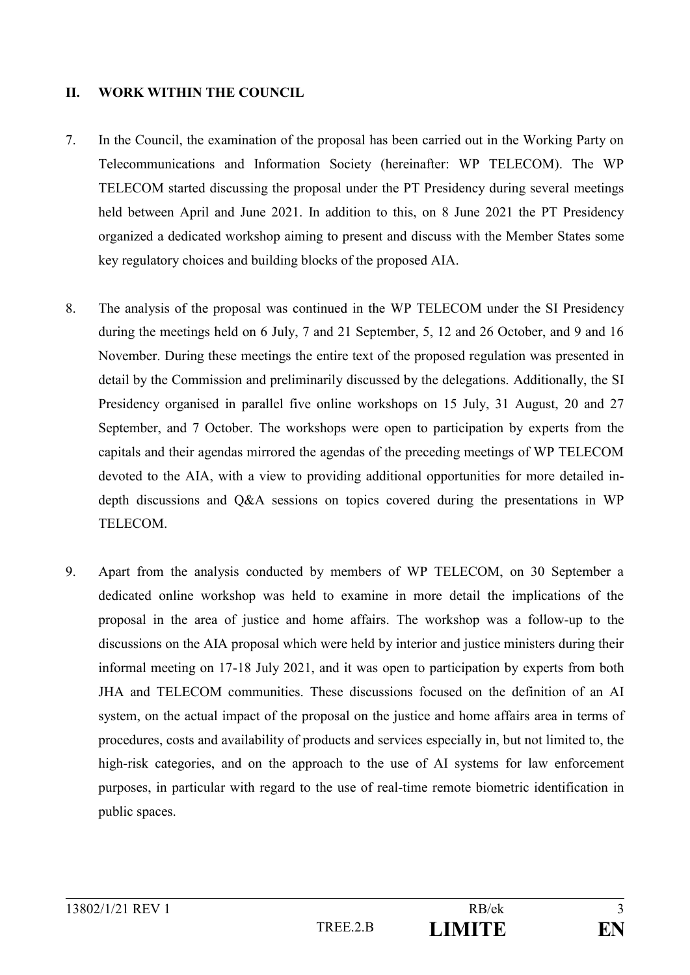## **II. WORK WITHIN THE COUNCIL**

- 7. In the Council, the examination of the proposal has been carried out in the Working Party on Telecommunications and Information Society (hereinafter: WP TELECOM). The WP TELECOM started discussing the proposal under the PT Presidency during several meetings held between April and June 2021. In addition to this, on 8 June 2021 the PT Presidency organized a dedicated workshop aiming to present and discuss with the Member States some key regulatory choices and building blocks of the proposed AIA.
- 8. The analysis of the proposal was continued in the WP TELECOM under the SI Presidency during the meetings held on 6 July, 7 and 21 September, 5, 12 and 26 October, and 9 and 16 November. During these meetings the entire text of the proposed regulation was presented in detail by the Commission and preliminarily discussed by the delegations. Additionally, the SI Presidency organised in parallel five online workshops on 15 July, 31 August, 20 and 27 September, and 7 October. The workshops were open to participation by experts from the capitals and their agendas mirrored the agendas of the preceding meetings of WP TELECOM devoted to the AIA, with a view to providing additional opportunities for more detailed indepth discussions and Q&A sessions on topics covered during the presentations in WP TELECOM.
- 9. Apart from the analysis conducted by members of WP TELECOM, on 30 September a dedicated online workshop was held to examine in more detail the implications of the proposal in the area of justice and home affairs. The workshop was a follow-up to the discussions on the AIA proposal which were held by interior and justice ministers during their informal meeting on 17-18 July 2021, and it was open to participation by experts from both JHA and TELECOM communities. These discussions focused on the definition of an AI system, on the actual impact of the proposal on the justice and home affairs area in terms of procedures, costs and availability of products and services especially in, but not limited to, the high-risk categories, and on the approach to the use of AI systems for law enforcement purposes, in particular with regard to the use of real-time remote biometric identification in public spaces.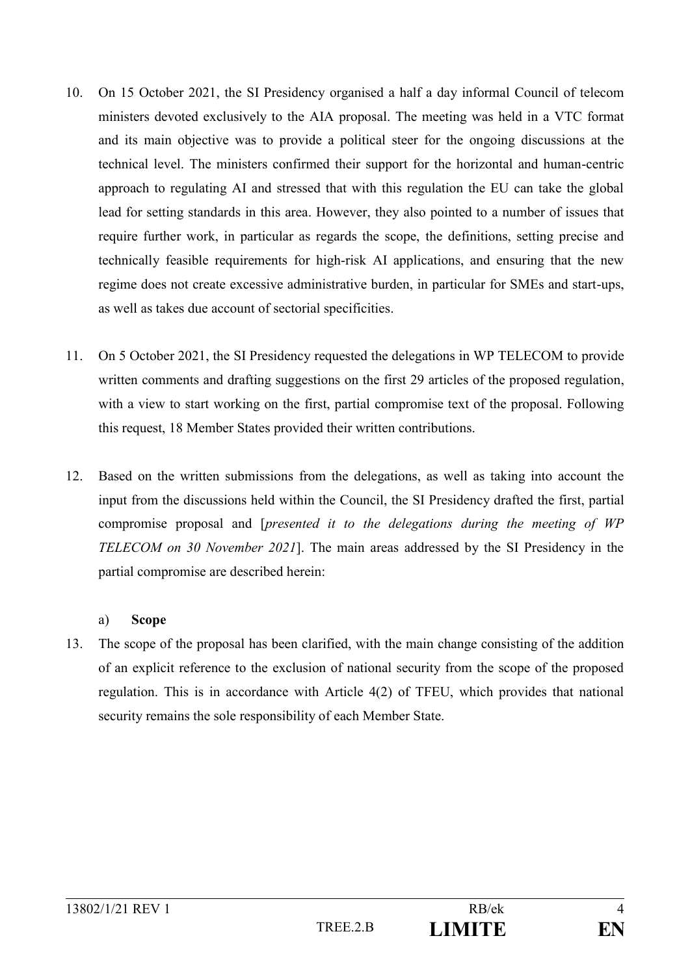- 10. On 15 October 2021, the SI Presidency organised a half a day informal Council of telecom ministers devoted exclusively to the AIA proposal. The meeting was held in a VTC format and its main objective was to provide a political steer for the ongoing discussions at the technical level. The ministers confirmed their support for the horizontal and human-centric approach to regulating AI and stressed that with this regulation the EU can take the global lead for setting standards in this area. However, they also pointed to a number of issues that require further work, in particular as regards the scope, the definitions, setting precise and technically feasible requirements for high-risk AI applications, and ensuring that the new regime does not create excessive administrative burden, in particular for SMEs and start-ups, as well as takes due account of sectorial specificities.
- 11. On 5 October 2021, the SI Presidency requested the delegations in WP TELECOM to provide written comments and drafting suggestions on the first 29 articles of the proposed regulation, with a view to start working on the first, partial compromise text of the proposal. Following this request, 18 Member States provided their written contributions.
- 12. Based on the written submissions from the delegations, as well as taking into account the input from the discussions held within the Council, the SI Presidency drafted the first, partial compromise proposal and [*presented it to the delegations during the meeting of WP TELECOM on 30 November 2021*]. The main areas addressed by the SI Presidency in the partial compromise are described herein:

#### a) **Scope**

13. The scope of the proposal has been clarified, with the main change consisting of the addition of an explicit reference to the exclusion of national security from the scope of the proposed regulation. This is in accordance with Article 4(2) of TFEU, which provides that national security remains the sole responsibility of each Member State.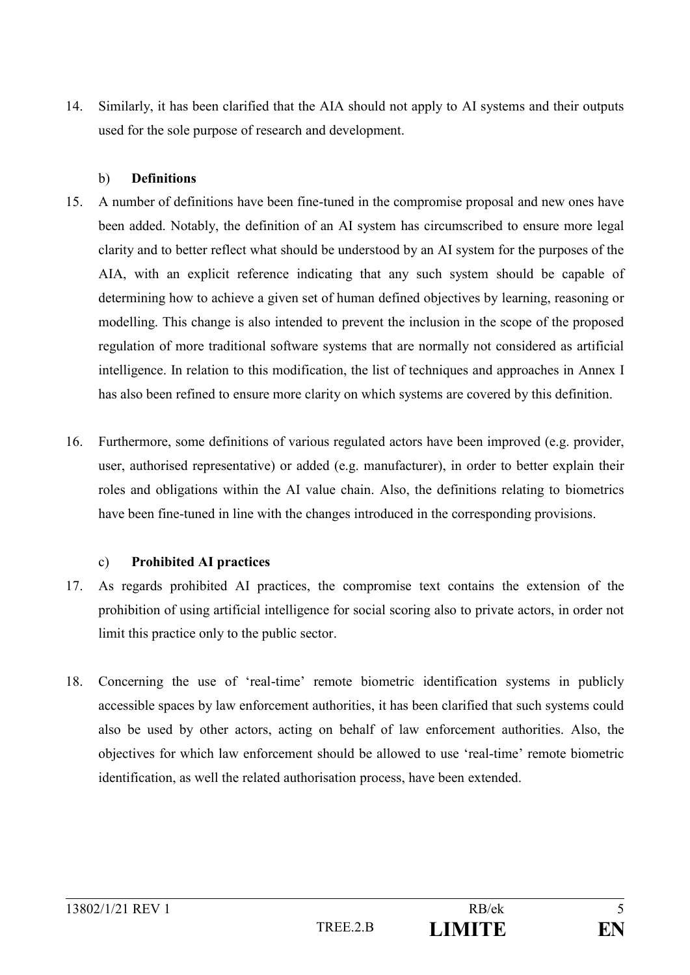14. Similarly, it has been clarified that the AIA should not apply to AI systems and their outputs used for the sole purpose of research and development.

## b) **Definitions**

- 15. A number of definitions have been fine-tuned in the compromise proposal and new ones have been added. Notably, the definition of an AI system has circumscribed to ensure more legal clarity and to better reflect what should be understood by an AI system for the purposes of the AIA, with an explicit reference indicating that any such system should be capable of determining how to achieve a given set of human defined objectives by learning, reasoning or modelling. This change is also intended to prevent the inclusion in the scope of the proposed regulation of more traditional software systems that are normally not considered as artificial intelligence. In relation to this modification, the list of techniques and approaches in Annex I has also been refined to ensure more clarity on which systems are covered by this definition.
- 16. Furthermore, some definitions of various regulated actors have been improved (e.g. provider, user, authorised representative) or added (e.g. manufacturer), in order to better explain their roles and obligations within the AI value chain. Also, the definitions relating to biometrics have been fine-tuned in line with the changes introduced in the corresponding provisions.

# c) **Prohibited AI practices**

- 17. As regards prohibited AI practices, the compromise text contains the extension of the prohibition of using artificial intelligence for social scoring also to private actors, in order not limit this practice only to the public sector.
- 18. Concerning the use of 'real-time' remote biometric identification systems in publicly accessible spaces by law enforcement authorities, it has been clarified that such systems could also be used by other actors, acting on behalf of law enforcement authorities. Also, the objectives for which law enforcement should be allowed to use 'real-time' remote biometric identification, as well the related authorisation process, have been extended.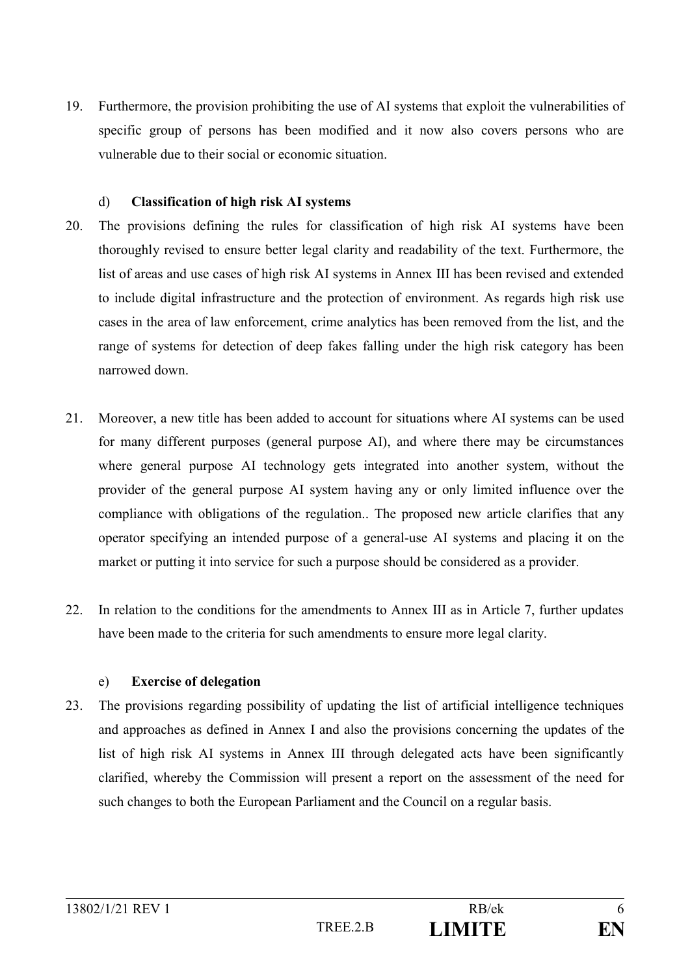19. Furthermore, the provision prohibiting the use of AI systems that exploit the vulnerabilities of specific group of persons has been modified and it now also covers persons who are vulnerable due to their social or economic situation.

## d) **Classification of high risk AI systems**

- 20. The provisions defining the rules for classification of high risk AI systems have been thoroughly revised to ensure better legal clarity and readability of the text. Furthermore, the list of areas and use cases of high risk AI systems in Annex III has been revised and extended to include digital infrastructure and the protection of environment. As regards high risk use cases in the area of law enforcement, crime analytics has been removed from the list, and the range of systems for detection of deep fakes falling under the high risk category has been narrowed down.
- 21. Moreover, a new title has been added to account for situations where AI systems can be used for many different purposes (general purpose AI), and where there may be circumstances where general purpose AI technology gets integrated into another system, without the provider of the general purpose AI system having any or only limited influence over the compliance with obligations of the regulation.. The proposed new article clarifies that any operator specifying an intended purpose of a general-use AI systems and placing it on the market or putting it into service for such a purpose should be considered as a provider.
- 22. In relation to the conditions for the amendments to Annex III as in Article 7, further updates have been made to the criteria for such amendments to ensure more legal clarity.

# e) **Exercise of delegation**

23. The provisions regarding possibility of updating the list of artificial intelligence techniques and approaches as defined in Annex I and also the provisions concerning the updates of the list of high risk AI systems in Annex III through delegated acts have been significantly clarified, whereby the Commission will present a report on the assessment of the need for such changes to both the European Parliament and the Council on a regular basis.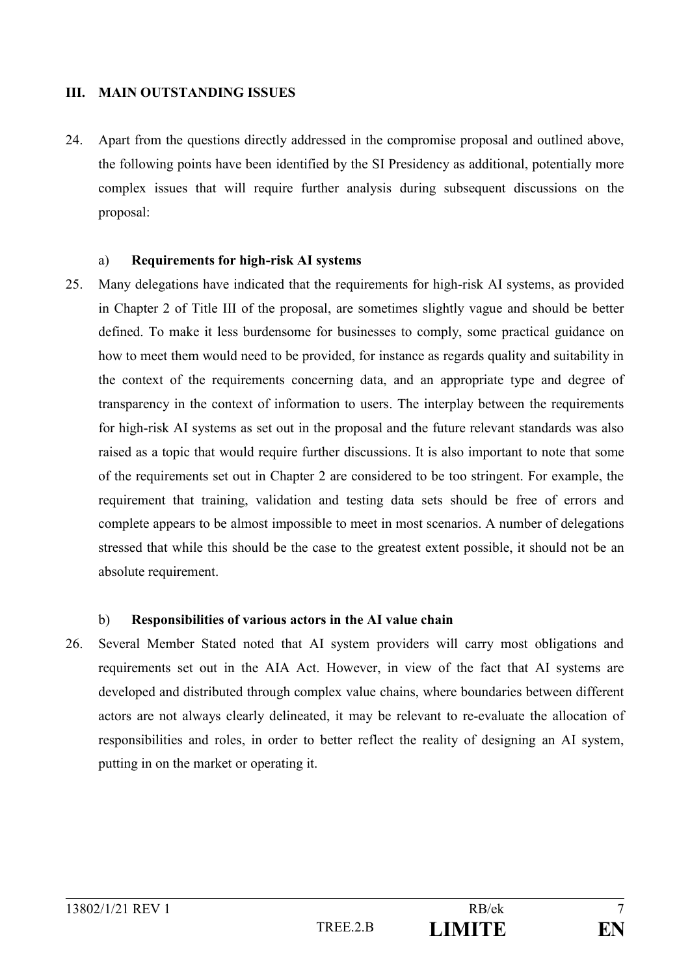## **III. MAIN OUTSTANDING ISSUES**

24. Apart from the questions directly addressed in the compromise proposal and outlined above, the following points have been identified by the SI Presidency as additional, potentially more complex issues that will require further analysis during subsequent discussions on the proposal:

#### a) **Requirements for high-risk AI systems**

25. Many delegations have indicated that the requirements for high-risk AI systems, as provided in Chapter 2 of Title III of the proposal, are sometimes slightly vague and should be better defined. To make it less burdensome for businesses to comply, some practical guidance on how to meet them would need to be provided, for instance as regards quality and suitability in the context of the requirements concerning data, and an appropriate type and degree of transparency in the context of information to users. The interplay between the requirements for high-risk AI systems as set out in the proposal and the future relevant standards was also raised as a topic that would require further discussions. It is also important to note that some of the requirements set out in Chapter 2 are considered to be too stringent. For example, the requirement that training, validation and testing data sets should be free of errors and complete appears to be almost impossible to meet in most scenarios. A number of delegations stressed that while this should be the case to the greatest extent possible, it should not be an absolute requirement.

#### b) **Responsibilities of various actors in the AI value chain**

26. Several Member Stated noted that AI system providers will carry most obligations and requirements set out in the AIA Act. However, in view of the fact that AI systems are developed and distributed through complex value chains, where boundaries between different actors are not always clearly delineated, it may be relevant to re-evaluate the allocation of responsibilities and roles, in order to better reflect the reality of designing an AI system, putting in on the market or operating it.